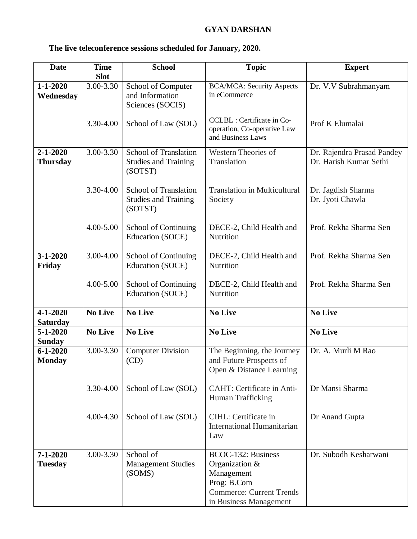## **GYAN DARSHAN**

## **The live teleconference sessions scheduled for January, 2020.**

| <b>Date</b>                       | <b>Time</b>    | <b>School</b>                                                          | <b>Topic</b>                                                                                                                   | <b>Expert</b>                                        |
|-----------------------------------|----------------|------------------------------------------------------------------------|--------------------------------------------------------------------------------------------------------------------------------|------------------------------------------------------|
|                                   | <b>Slot</b>    |                                                                        |                                                                                                                                |                                                      |
| $1 - 1 - 2020$<br>Wednesday       | 3.00-3.30      | School of Computer<br>and Information<br>Sciences (SOCIS)              | <b>BCA/MCA: Security Aspects</b><br>in eCommerce                                                                               | Dr. V.V Subrahmanyam                                 |
|                                   | 3.30-4.00      | School of Law (SOL)                                                    | CCLBL : Certificate in Co-<br>operation, Co-operative Law<br>and Business Laws                                                 | Prof K Elumalai                                      |
| $2 - 1 - 2020$<br><b>Thursday</b> | 3.00-3.30      | <b>School of Translation</b><br><b>Studies and Training</b><br>(SOTST) | Western Theories of<br>Translation                                                                                             | Dr. Rajendra Prasad Pandey<br>Dr. Harish Kumar Sethi |
|                                   | 3.30-4.00      | <b>School of Translation</b><br><b>Studies and Training</b><br>(SOTST) | <b>Translation in Multicultural</b><br>Society                                                                                 | Dr. Jagdish Sharma<br>Dr. Jyoti Chawla               |
|                                   | 4.00-5.00      | <b>School of Continuing</b><br>Education (SOCE)                        | DECE-2, Child Health and<br>Nutrition                                                                                          | Prof. Rekha Sharma Sen                               |
| $3 - 1 - 2020$<br>Friday          | 3.00-4.00      | School of Continuing<br>Education (SOCE)                               | DECE-2, Child Health and<br>Nutrition                                                                                          | Prof. Rekha Sharma Sen                               |
|                                   | $4.00 - 5.00$  | School of Continuing<br>Education (SOCE)                               | DECE-2, Child Health and<br>Nutrition                                                                                          | Prof. Rekha Sharma Sen                               |
| $4 - 1 - 2020$<br><b>Saturday</b> | <b>No Live</b> | <b>No Live</b>                                                         | <b>No Live</b>                                                                                                                 | <b>No Live</b>                                       |
| $5 - 1 - 2020$<br><b>Sunday</b>   | <b>No Live</b> | <b>No Live</b>                                                         | <b>No Live</b>                                                                                                                 | <b>No Live</b>                                       |
| $6 - 1 - 2020$<br><b>Monday</b>   | 3.00-3.30      | <b>Computer Division</b><br>(CD)                                       | The Beginning, the Journey<br>and Future Prospects of<br>Open & Distance Learning                                              | Dr. A. Murli M Rao                                   |
|                                   | 3.30-4.00      | School of Law (SOL)                                                    | CAHT: Certificate in Anti-<br>Human Trafficking                                                                                | Dr Mansi Sharma                                      |
|                                   | $4.00 - 4.30$  | School of Law (SOL)                                                    | CIHL: Certificate in<br><b>International Humanitarian</b><br>Law                                                               | Dr Anand Gupta                                       |
| $7 - 1 - 2020$<br><b>Tuesday</b>  | 3.00-3.30      | School of<br><b>Management Studies</b><br>(SOMS)                       | BCOC-132: Business<br>Organization &<br>Management<br>Prog: B.Com<br><b>Commerce: Current Trends</b><br>in Business Management | Dr. Subodh Kesharwani                                |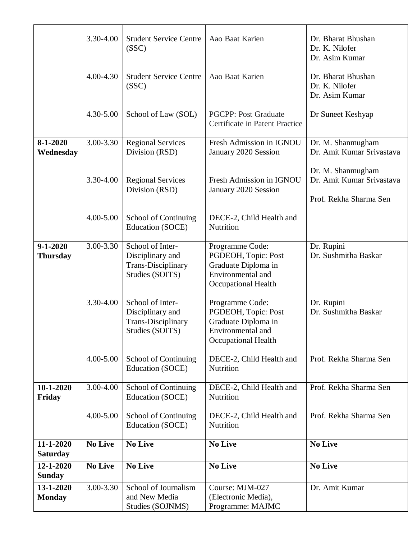|                                   | 3.30-4.00      | <b>Student Service Centre</b><br>(SSC)                                               | Aao Baat Karien                                                                                                  | Dr. Bharat Bhushan<br>Dr. K. Nilofer<br>Dr. Asim Kumar                   |
|-----------------------------------|----------------|--------------------------------------------------------------------------------------|------------------------------------------------------------------------------------------------------------------|--------------------------------------------------------------------------|
|                                   | 4.00-4.30      | <b>Student Service Centre</b><br>(SSC)                                               | Aao Baat Karien                                                                                                  | Dr. Bharat Bhushan<br>Dr. K. Nilofer<br>Dr. Asim Kumar                   |
|                                   | 4.30-5.00      | School of Law (SOL)                                                                  | <b>PGCPP: Post Graduate</b><br>Certificate in Patent Practice                                                    | Dr Suneet Keshyap                                                        |
| $8 - 1 - 2020$                    | 3.00-3.30      | <b>Regional Services</b>                                                             | Fresh Admission in IGNOU                                                                                         | Dr. M. Shanmugham                                                        |
| Wednesday                         |                | Division (RSD)                                                                       | January 2020 Session                                                                                             | Dr. Amit Kumar Srivastava                                                |
|                                   | 3.30-4.00      | <b>Regional Services</b><br>Division (RSD)                                           | Fresh Admission in IGNOU<br>January 2020 Session                                                                 | Dr. M. Shanmugham<br>Dr. Amit Kumar Srivastava<br>Prof. Rekha Sharma Sen |
|                                   | $4.00 - 5.00$  | <b>School of Continuing</b><br>Education (SOCE)                                      | DECE-2, Child Health and<br>Nutrition                                                                            |                                                                          |
| $9 - 1 - 2020$<br><b>Thursday</b> | 3.00-3.30      | School of Inter-<br>Disciplinary and<br><b>Trans-Disciplinary</b><br>Studies (SOITS) | Programme Code:<br>PGDEOH, Topic: Post<br>Graduate Diploma in<br>Environmental and<br><b>Occupational Health</b> | Dr. Rupini<br>Dr. Sushmitha Baskar                                       |
|                                   | 3.30-4.00      | School of Inter-<br>Disciplinary and<br><b>Trans-Disciplinary</b><br>Studies (SOITS) | Programme Code:<br>PGDEOH, Topic: Post<br>Graduate Diploma in<br>Environmental and<br><b>Occupational Health</b> | Dr. Rupini<br>Dr. Sushmitha Baskar                                       |
|                                   | $4.00 - 5.00$  | School of Continuing<br>Education (SOCE)                                             | DECE-2, Child Health and<br>Nutrition                                                                            | Prof. Rekha Sharma Sen                                                   |
| $10-1-2020$<br>Friday             | 3.00-4.00      | School of Continuing<br>Education (SOCE)                                             | DECE-2, Child Health and<br>Nutrition                                                                            | Prof. Rekha Sharma Sen                                                   |
|                                   | $4.00 - 5.00$  | School of Continuing<br>Education (SOCE)                                             | DECE-2, Child Health and<br>Nutrition                                                                            | Prof. Rekha Sharma Sen                                                   |
| 11-1-2020<br><b>Saturday</b>      | <b>No Live</b> | <b>No Live</b>                                                                       | <b>No Live</b>                                                                                                   | <b>No Live</b>                                                           |
| 12-1-2020<br><b>Sunday</b>        | <b>No Live</b> | <b>No Live</b>                                                                       | <b>No Live</b>                                                                                                   | <b>No Live</b>                                                           |
| 13-1-2020                         | 3.00-3.30      | School of Journalism                                                                 | Course: MJM-027                                                                                                  | Dr. Amit Kumar                                                           |
| <b>Monday</b>                     |                | and New Media                                                                        | (Electronic Media),                                                                                              |                                                                          |
|                                   |                | Studies (SOJNMS)                                                                     | Programme: MAJMC                                                                                                 |                                                                          |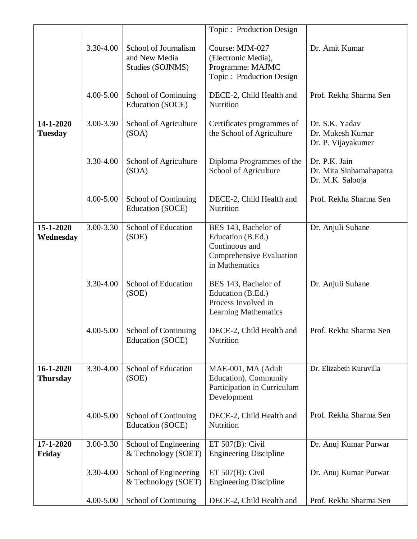|                              |           |                                                           | Topic: Production Design                                                                                  |                                                              |
|------------------------------|-----------|-----------------------------------------------------------|-----------------------------------------------------------------------------------------------------------|--------------------------------------------------------------|
|                              | 3.30-4.00 | School of Journalism<br>and New Media<br>Studies (SOJNMS) | Course: MJM-027<br>(Electronic Media),<br>Programme: MAJMC<br>Topic: Production Design                    | Dr. Amit Kumar                                               |
|                              | 4.00-5.00 | <b>School of Continuing</b><br>Education (SOCE)           | DECE-2, Child Health and<br>Nutrition                                                                     | Prof. Rekha Sharma Sen                                       |
| 14-1-2020<br><b>Tuesday</b>  | 3.00-3.30 | School of Agriculture<br>(SOA)                            | Certificates programmes of<br>the School of Agriculture                                                   | Dr. S.K. Yadav<br>Dr. Mukesh Kumar<br>Dr. P. Vijayakumer     |
|                              | 3.30-4.00 | School of Agriculture<br>(SOA)                            | Diploma Programmes of the<br>School of Agriculture                                                        | Dr. P.K. Jain<br>Dr. Mita Sinhamahapatra<br>Dr. M.K. Salooja |
|                              | 4.00-5.00 | <b>School of Continuing</b><br><b>Education (SOCE)</b>    | DECE-2, Child Health and<br>Nutrition                                                                     | Prof. Rekha Sharma Sen                                       |
| 15-1-2020<br>Wednesday       | 3.00-3.30 | School of Education<br>(SOE)                              | BES 143, Bachelor of<br>Education (B.Ed.)<br>Continuous and<br>Comprehensive Evaluation<br>in Mathematics | Dr. Anjuli Suhane                                            |
|                              | 3.30-4.00 | School of Education<br>(SOE)                              | BES 143, Bachelor of<br>Education (B.Ed.)<br>Process Involved in<br><b>Learning Mathematics</b>           | Dr. Anjuli Suhane                                            |
|                              | 4.00-5.00 | School of Continuing<br>Education (SOCE)                  | DECE-2, Child Health and<br>Nutrition                                                                     | Prof. Rekha Sharma Sen                                       |
| 16-1-2020<br><b>Thursday</b> | 3.30-4.00 | School of Education<br>(SOE)                              | MAE-001, MA (Adult<br>Education), Community<br>Participation in Curriculum<br>Development                 | Dr. Elizabeth Kuruvilla                                      |
|                              | 4.00-5.00 | School of Continuing<br>Education (SOCE)                  | DECE-2, Child Health and<br>Nutrition                                                                     | Prof. Rekha Sharma Sen                                       |
| 17-1-2020<br>Friday          | 3.00-3.30 | School of Engineering<br>& Technology (SOET)              | ET $507(B)$ : Civil<br><b>Engineering Discipline</b>                                                      | Dr. Anuj Kumar Purwar                                        |
|                              | 3.30-4.00 | School of Engineering<br>& Technology (SOET)              | ET $507(B)$ : Civil<br><b>Engineering Discipline</b>                                                      | Dr. Anuj Kumar Purwar                                        |
|                              | 4.00-5.00 | School of Continuing                                      | DECE-2, Child Health and                                                                                  | Prof. Rekha Sharma Sen                                       |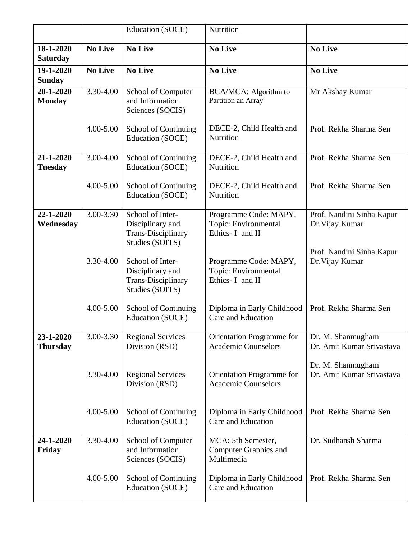|                              |                | Education (SOCE)                                                                     | Nutrition                                                         |                                                |
|------------------------------|----------------|--------------------------------------------------------------------------------------|-------------------------------------------------------------------|------------------------------------------------|
| 18-1-2020<br><b>Saturday</b> | <b>No Live</b> | <b>No Live</b>                                                                       | <b>No Live</b>                                                    | <b>No Live</b>                                 |
| 19-1-2020<br><b>Sunday</b>   | <b>No Live</b> | <b>No Live</b>                                                                       | <b>No Live</b>                                                    | <b>No Live</b>                                 |
| 20-1-2020<br><b>Monday</b>   | 3.30-4.00      | School of Computer<br>and Information<br>Sciences (SOCIS)                            | BCA/MCA: Algorithm to<br>Partition an Array                       | Mr Akshay Kumar                                |
|                              | $4.00 - 5.00$  | <b>School of Continuing</b><br>Education (SOCE)                                      | DECE-2, Child Health and<br>Nutrition                             | Prof. Rekha Sharma Sen                         |
| 21-1-2020<br><b>Tuesday</b>  | 3.00-4.00      | <b>School of Continuing</b><br>Education (SOCE)                                      | DECE-2, Child Health and<br>Nutrition                             | Prof. Rekha Sharma Sen                         |
|                              | 4.00-5.00      | <b>School of Continuing</b><br>Education (SOCE)                                      | DECE-2, Child Health and<br>Nutrition                             | Prof. Rekha Sharma Sen                         |
| 22-1-2020<br>Wednesday       | 3.00-3.30      | School of Inter-<br>Disciplinary and<br><b>Trans-Disciplinary</b><br>Studies (SOITS) | Programme Code: MAPY,<br>Topic: Environmental<br>Ethics- I and II | Prof. Nandini Sinha Kapur<br>Dr. Vijay Kumar   |
|                              | 3.30-4.00      | School of Inter-<br>Disciplinary and<br><b>Trans-Disciplinary</b><br>Studies (SOITS) | Programme Code: MAPY,<br>Topic: Environmental<br>Ethics- I and II | Prof. Nandini Sinha Kapur<br>Dr. Vijay Kumar   |
|                              | $4.00 - 5.00$  | <b>School of Continuing</b><br>Education (SOCE)                                      | Diploma in Early Childhood<br>Care and Education                  | Prof. Rekha Sharma Sen                         |
| 23-1-2020<br><b>Thursday</b> | 3.00-3.30      | <b>Regional Services</b><br>Division (RSD)                                           | Orientation Programme for<br><b>Academic Counselors</b>           | Dr. M. Shanmugham<br>Dr. Amit Kumar Srivastava |
|                              | 3.30-4.00      | <b>Regional Services</b><br>Division (RSD)                                           | Orientation Programme for<br><b>Academic Counselors</b>           | Dr. M. Shanmugham<br>Dr. Amit Kumar Srivastava |
|                              | $4.00 - 5.00$  | School of Continuing<br>Education (SOCE)                                             | Diploma in Early Childhood<br>Care and Education                  | Prof. Rekha Sharma Sen                         |
| 24-1-2020<br>Friday          | 3.30-4.00      | School of Computer<br>and Information<br>Sciences (SOCIS)                            | MCA: 5th Semester,<br>Computer Graphics and<br>Multimedia         | Dr. Sudhansh Sharma                            |
|                              | 4.00-5.00      | School of Continuing<br>Education (SOCE)                                             | Diploma in Early Childhood<br>Care and Education                  | Prof. Rekha Sharma Sen                         |